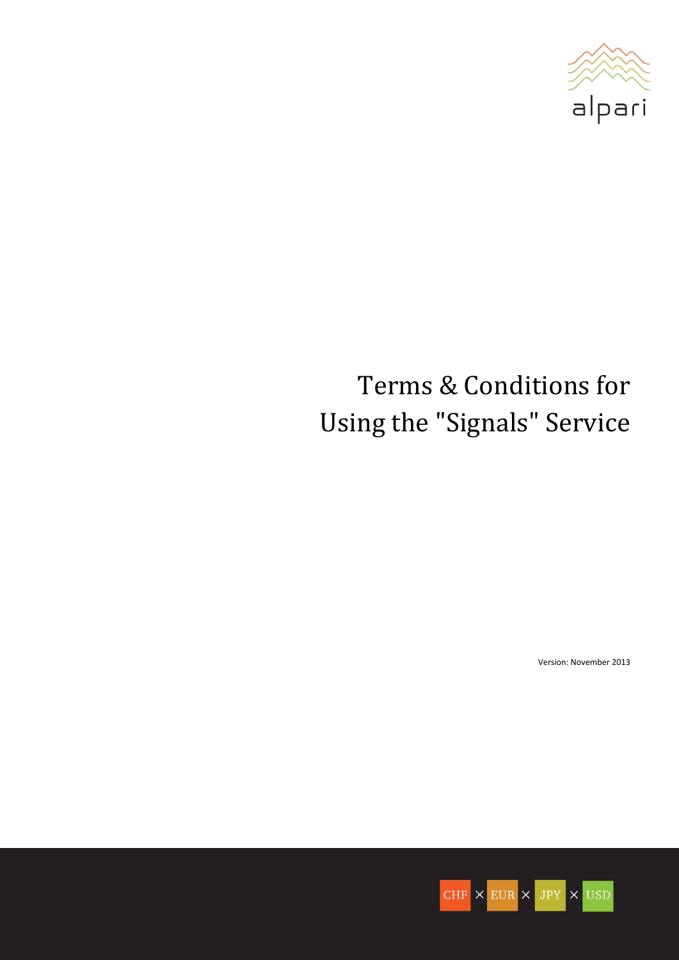

# Terms & Conditions for Using the "Signals" Service

Version: November 2013

 $CHF \times EUR \times JPY \times USD$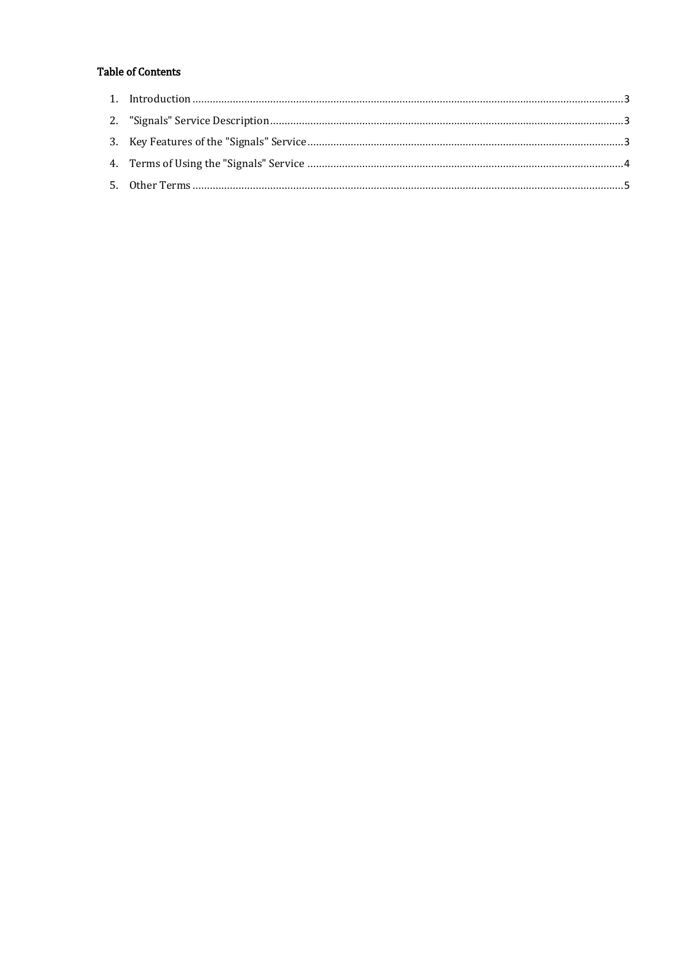# **Table of Contents**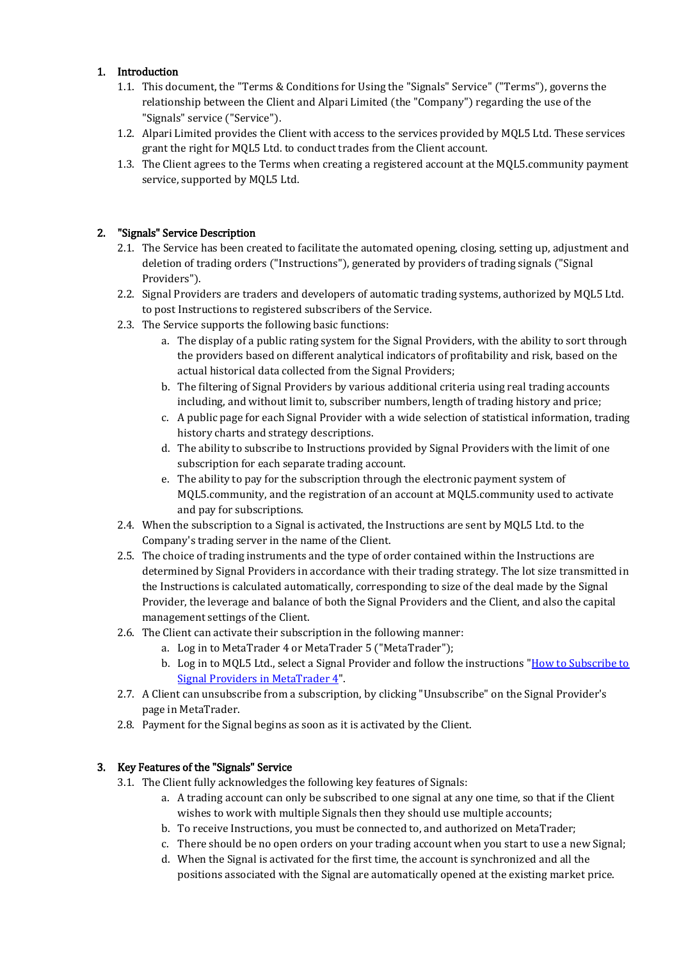## <span id="page-2-0"></span>1. Introduction

- 1.1. This document, the "Terms & Conditions for Using the "Signals" Service" ("Terms"), governs the relationship between the Client and Alpari Limited (the "Company") regarding the use of the "Signals" service ("Service").
- 1.2. Alpari Limited provides the Client with access to the services provided by MQL5 Ltd. These services grant the right for MQL5 Ltd. to conduct trades from the Client account.
- 1.3. The Client agrees to the Terms when creating a registered account at the MQL5.community payment service, supported by MQL5 Ltd.

## <span id="page-2-1"></span>2. "Signals" Service Description

- 2.1. The Service has been created to facilitate the automated opening, closing, setting up, adjustment and deletion of trading orders ("Instructions"), generated by providers of trading signals ("Signal Providers").
- 2.2. Signal Providers are traders and developers of automatic trading systems, authorized by MQL5 Ltd. to post Instructions to registered subscribers of the Service.
- 2.3. The Service supports the following basic functions:
	- a. The display of a public rating system for the Signal Providers, with the ability to sort through the providers based on different analytical indicators of profitability and risk, based on the actual historical data collected from the Signal Providers;
	- b. The filtering of Signal Providers by various additional criteria using real trading accounts including, and without limit to, subscriber numbers, length of trading history and price;
	- c. A public page for each Signal Provider with a wide selection of statistical information, trading history charts and strategy descriptions.
	- d. The ability to subscribe to Instructions provided by Signal Providers with the limit of one subscription for each separate trading account.
	- e. The ability to pay for the subscription through the electronic payment system of MQL5.community, and the registration of an account at MQL5.community used to activate and pay for subscriptions.
- 2.4. When the subscription to a Signal is activated, the Instructions are sent by MQL5 Ltd. to the Company's trading server in the name of the Client.
- 2.5. The choice of trading instruments and the type of order contained within the Instructions are determined by Signal Providers in accordance with their trading strategy. The lot size transmitted in the Instructions is calculated automatically, corresponding to size of the deal made by the Signal Provider, the leverage and balance of both the Signal Providers and the Client, and also the capital management settings of the Client.
- 2.6. The Client can activate their subscription in the following manner:
	- a. Log in to MetaTrader 4 or MetaTrader 5 ("MetaTrader");
	- b. Log in to MQL5 Ltd., select a Signal Provider and follow the instructions ["How to Subscribe to](http://www.alpari.ru/data/docs/regulations/how_to_subscribe_to_trading_signals_en.pdf)  [Signal Providers in MetaTrader 4"](http://www.alpari.ru/data/docs/regulations/how_to_subscribe_to_trading_signals_en.pdf).
- 2.7. A Client can unsubscribe from a subscription, by clicking "Unsubscribe" on the Signal Provider's page in MetaTrader.
- 2.8. Payment for the Signal begins as soon as it is activated by the Client.

#### <span id="page-2-2"></span>3. Key Features of the "Signals" Service

- 3.1. The Client fully acknowledges the following key features of Signals:
	- a. A trading account can only be subscribed to one signal at any one time, so that if the Client wishes to work with multiple Signals then they should use multiple accounts;
	- b. To receive Instructions, you must be connected to, and authorized on MetaTrader;
	- c. There should be no open orders on your trading account when you start to use a new Signal;
	- d. When the Signal is activated for the first time, the account is synchronized and all the positions associated with the Signal are automatically opened at the existing market price.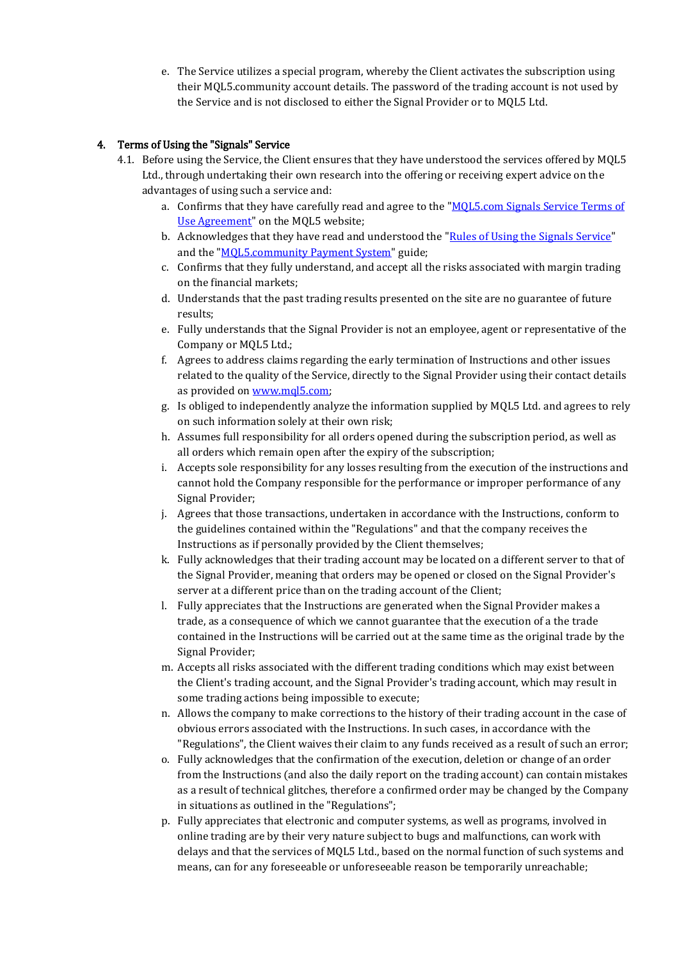e. The Service utilizes a special program, whereby the Client activates the subscription using their MQL5.community account details. The password of the trading account is not used by the Service and is not disclosed to either the Signal Provider or to MQL5 Ltd.

### <span id="page-3-0"></span>4. Terms of Using the "Signals" Service

- 4.1. Before using the Service, the Client ensures that they have understood the services offered by MQL5 Ltd., through undertaking their own research into the offering or receiving expert advice on the advantages of using such a service and:
	- a. Confirms that they have carefully read and agree to the ["MQL5.com Signals Service Terms of](http://www.mql5.com/en/signals/terms/subscriber)  [Use Agreement"](http://www.mql5.com/en/signals/terms/subscriber) on the MQL5 website;
	- b. Acknowledges that they have read and understood the ["Rules of Using the Signals Service"](http://www.mql5.com/en/signals/rules) and the ["MQL5.community Payment System"](http://www.mql5.com/en/articles/302) guide;
	- c. Confirms that they fully understand, and accept all the risks associated with margin trading on the financial markets;
	- d. Understands that the past trading results presented on the site are no guarantee of future results;
	- e. Fully understands that the Signal Provider is not an employee, agent or representative of the Company or MQL5 Ltd.;
	- f. Agrees to address claims regarding the early termination of Instructions and other issues related to the quality of the Service, directly to the Signal Provider using their contact details as provided o[n www.mql5.com;](http://www.mql5.com/)
	- g. Is obliged to independently analyze the information supplied by MQL5 Ltd. and agrees to rely on such information solely at their own risk;
	- h. Assumes full responsibility for all orders opened during the subscription period, as well as all orders which remain open after the expiry of the subscription;
	- i. Accepts sole responsibility for any losses resulting from the execution of the instructions and cannot hold the Company responsible for the performance or improper performance of any Signal Provider;
	- j. Agrees that those transactions, undertaken in accordance with the Instructions, conform to the guidelines contained within the "Regulations" and that the company receives the Instructions as if personally provided by the Client themselves;
	- k. Fully acknowledges that their trading account may be located on a different server to that of the Signal Provider, meaning that orders may be opened or closed on the Signal Provider's server at a different price than on the trading account of the Client;
	- l. Fully appreciates that the Instructions are generated when the Signal Provider makes a trade, as a consequence of which we cannot guarantee that the execution of a the trade contained in the Instructions will be carried out at the same time as the original trade by the Signal Provider;
	- m. Accepts all risks associated with the different trading conditions which may exist between the Client's trading account, and the Signal Provider's trading account, which may result in some trading actions being impossible to execute;
	- n. Allows the company to make corrections to the history of their trading account in the case of obvious errors associated with the Instructions. In such cases, in accordance with the "Regulations", the Client waives their claim to any funds received as a result of such an error;
	- o. Fully acknowledges that the confirmation of the execution, deletion or change of an order from the Instructions (and also the daily report on the trading account) can contain mistakes as a result of technical glitches, therefore a confirmed order may be changed by the Company in situations as outlined in the "Regulations";
	- p. Fully appreciates that electronic and computer systems, as well as programs, involved in online trading are by their very nature subject to bugs and malfunctions, can work with delays and that the services of MQL5 Ltd., based on the normal function of such systems and means, can for any foreseeable or unforeseeable reason be temporarily unreachable;